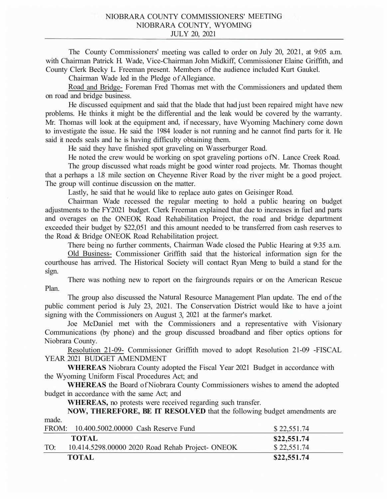The County Commissioners' meeting was called to order on July 20, 2021, at 9:05 a.m. with Chairman Patrick H. Wade, Vice-Chairman John Midkiff, Commissioner Elaine Griffith, and County Clerk Becky L. Freeman present. Members of the audience included Kurt Gaukel.

Chairman Wade led in the Pledge of Allegiance.

Road and Bridge- Foreman Fred Thomas met with the Commissioners and updated them on road and bridge business.

He discussed equipment and said that the blade that had just been repaired might have new problems. He thinks it might be the differential and the leak would be covered by the warranty. Mr. Thomas will look at the equipment and, if necessary, have Wyoming Machinery come down to investigate the issue. He said the 1984 loader is not running and he cannot find parts for it. He said it needs seals and he is having difficulty obtaining them.

He said they have finished spot graveling on Wasserburger Road.

He noted the crew would be working on spot graveling portions ofN. Lance Creek Road.

The group discussed what roads might be good winter road projects. Mr. Thomas thought that a perhaps a 1.8 mile section on Cheyenne River Road by the river might be a good project. The group will continue discussion on the matter.

Lastly, he said that he would like to replace auto gates on Geisinger Road.

Chairman Wade recessed the regular meeting to hold a public hearing on budget adjustments to the FY2021 budget. Clerk Freeman explained that due to increases in fuel and parts and overages on the ONEOK Road Rehabilitation Project, the road and bridge department exceeded their budget by \$22,051 and this amount needed to be transferred from cash reserves to the Road & Bridge ONEOK Road Rehabilitation project.

There being no further comments, Chairman Wade closed the Public Hearing at 9:35 a.m.

Old Business- Commissioner Griffith said that the historical information sign for the courthouse has arrived. The Historical Society will contact Ryan Meng to build a stand for the sign.

There was nothing new to report on the fairgrounds repairs or on the American Rescue Plan.

The group also discussed the Natural Resource Management Plan update. The end of the public comment period is July 23, 2021. The Conservation District would like to have a joint signing with the Commissioners on August 3, 2021 at the farmer's market.

Joe McDaniel met with the Commissioners and a representative with Visionary Communications (by phone) and the group discussed broadband and fiber optics options for Niobrara County.

Resolution 21-09- Commissioner Griffith moved to adopt Resolution 21-09 -FISCAL YEAR 2021 BUDGET AMENDMENT

**WHEREAS** Niobrara County adopted the Fiscal Year 2021 Budget in accordance with the Wyoming Uniform Fiscal Procedures Act; and

**WHEREAS** the Board of Niobrara County Commissioners wishes to amend the adopted budget in accordance with the same Act; and

**WHEREAS,** no protests were received regarding such transfer.

**NOW, THEREFORE, BE IT RESOLVED** that the following budget amendments are made.

|     | FROM: 10.400.5002.00000 Cash Reserve Fund        | \$22,551.74 |
|-----|--------------------------------------------------|-------------|
|     | <b>TOTAL</b>                                     | \$22,551.74 |
| TO: | 10.414.5298.00000 2020 Road Rehab Project- ONEOK | \$22,551.74 |
|     | <b>TOTAL</b>                                     | \$22,551.74 |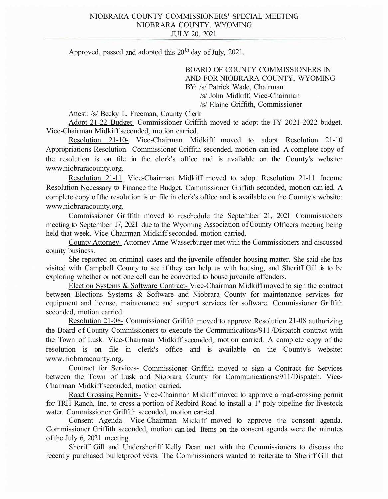Approved, passed and adopted this  $20<sup>th</sup>$  day of July, 2021.

BOARD OF COUNTY COMMISSIONERS IN AND FOR NIOBRARA COUNTY, WYOMING BY: /s/ Patrick Wade, Chairman /s/ John Midkiff, Vice-Chairman /s/ Elaine Griffith, Commissioner

Attest: /s/ Becky L. Freeman, County Clerk

Adopt 21-22 Budget- Commissioner Griffith moved to adopt the FY 2021-2022 budget. Vice-Chairman Midkiff seconded, motion carried.

Resolution 21-10- Vice-Chairman Midkiff moved to adopt Resolution 21-10 Appropriations Resolution. Commissioner Griffith seconded, motion can-ied. A complete copy of the resolution is on file in the clerk's office and is available on the County's website: www.niobraracounty.org.

Resolution 21-11 Vice-Chairman Midkiff moved to adopt Resolution 21-11 Income Resolution Necessary to Finance the Budget. Commissioner Griffith seconded, motion can-ied. A complete copy of the resolution is on file in clerk's office and is available on the County's website: www.niobraracounty.org.

Commissioner Griffith moved to reschedule the September 21, 2021 Commissioners meeting to September 17, 2021 due to the Wyoming Association of County Officers meeting being held that week. Vice-Chairman Midkiff seconded, motion carried.

County Attorney- Attorney Anne Wasserburger met with the Commissioners and discussed county business.

She reported on criminal cases and the juvenile offender housing matter. She said she has visited with Campbell County to see if they can help us with housing, and Sheriff Gill is to be exploring whether or not one cell can be converted to house juvenile offenders.

Election Systems & Software Contract- Vice-Chairman Midkiff moved to sign the contract between Elections Systems & Software and Niobrara County for maintenance services for equipment and license, maintenance and support services for software. Commissioner Griffith seconded, motion carried.

Resolution 21-08- Commissioner Griffith moved to approve Resolution 21-08 authorizing the Board of County Commissioners to execute the Communications/911 /Dispatch contract with the Town of Lusk. Vice-Chairman Midkiff seconded, motion carried. A complete copy of the resolution is on file in clerk's office and is available on the County's website: www.niobraracounty.org.

Contract for Services- Commissioner Griffith moved to sign a Contract for Services between the Town of Lusk and Niobrara County for Communications/911/Dispatch. Vice-Chairman Midkiff seconded, motion carried.

Road Crossing Permits- Vice-Chairman Midkiff moved to approve a road-crossing permit for TRH Ranch, Inc. to cross a portion of Redbird Road to install a 1" poly pipeline for livestock water. Commissioner Griffith seconded, motion can-ied.

Consent Agenda- Vice-Chairman Midkiff moved to approve the consent agenda. Commissioner Griffith seconded, motion can-ied. Items on the consent agenda were the minutes of the July 6, 2021 meeting.

Sheriff Gill and Undersheriff Kelly Dean met with the Commissioners to discuss the recently purchased bulletproof vests. The Commissioners wanted to reiterate to Sheriff Gill that